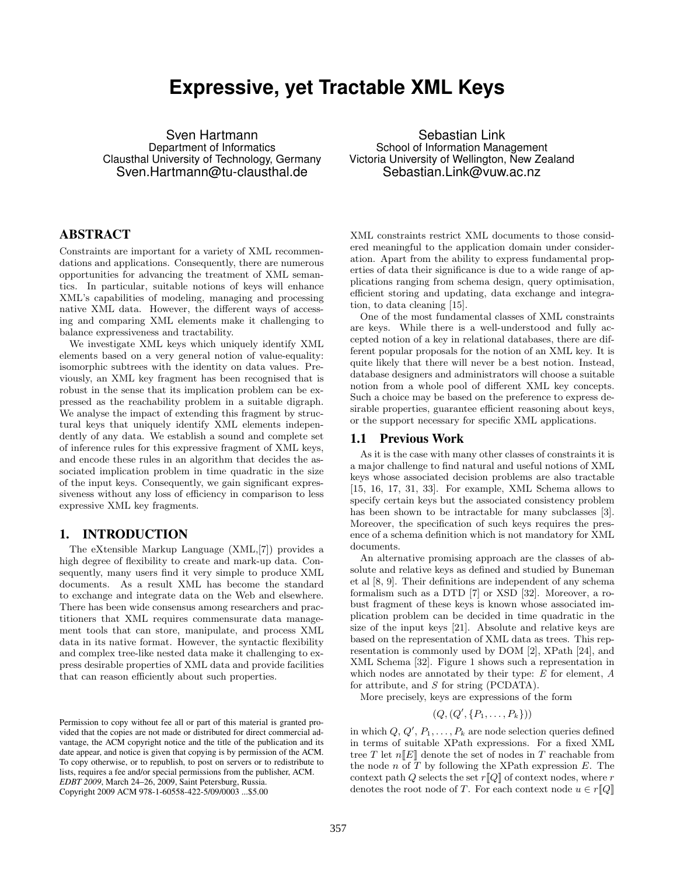# **Expressive, yet Tractable XML Keys**

Sven Hartmann Department of Informatics Clausthal University of Technology, Germany Sven.Hartmann@tu-clausthal.de

# ABSTRACT

Constraints are important for a variety of XML recommendations and applications. Consequently, there are numerous opportunities for advancing the treatment of XML semantics. In particular, suitable notions of keys will enhance XML's capabilities of modeling, managing and processing native XML data. However, the different ways of accessing and comparing XML elements make it challenging to balance expressiveness and tractability.

We investigate XML keys which uniquely identify XML elements based on a very general notion of value-equality: isomorphic subtrees with the identity on data values. Previously, an XML key fragment has been recognised that is robust in the sense that its implication problem can be expressed as the reachability problem in a suitable digraph. We analyse the impact of extending this fragment by structural keys that uniquely identify XML elements independently of any data. We establish a sound and complete set of inference rules for this expressive fragment of XML keys, and encode these rules in an algorithm that decides the associated implication problem in time quadratic in the size of the input keys. Consequently, we gain significant expressiveness without any loss of efficiency in comparison to less expressive XML key fragments.

# 1. INTRODUCTION

The eXtensible Markup Language (XML,[7]) provides a high degree of flexibility to create and mark-up data. Consequently, many users find it very simple to produce XML documents. As a result XML has become the standard to exchange and integrate data on the Web and elsewhere. There has been wide consensus among researchers and practitioners that XML requires commensurate data management tools that can store, manipulate, and process XML data in its native format. However, the syntactic flexibility and complex tree-like nested data make it challenging to express desirable properties of XML data and provide facilities that can reason efficiently about such properties.

Sebastian Link School of Information Management Victoria University of Wellington, New Zealand Sebastian.Link@vuw.ac.nz

XML constraints restrict XML documents to those considered meaningful to the application domain under consideration. Apart from the ability to express fundamental properties of data their significance is due to a wide range of applications ranging from schema design, query optimisation, efficient storing and updating, data exchange and integration, to data cleaning [15].

One of the most fundamental classes of XML constraints are keys. While there is a well-understood and fully accepted notion of a key in relational databases, there are different popular proposals for the notion of an XML key. It is quite likely that there will never be a best notion. Instead, database designers and administrators will choose a suitable notion from a whole pool of different XML key concepts. Such a choice may be based on the preference to express desirable properties, guarantee efficient reasoning about keys, or the support necessary for specific XML applications.

#### 1.1 Previous Work

As it is the case with many other classes of constraints it is a major challenge to find natural and useful notions of XML keys whose associated decision problems are also tractable [15, 16, 17, 31, 33]. For example, XML Schema allows to specify certain keys but the associated consistency problem has been shown to be intractable for many subclasses [3]. Moreover, the specification of such keys requires the presence of a schema definition which is not mandatory for XML documents.

An alternative promising approach are the classes of absolute and relative keys as defined and studied by Buneman et al [8, 9]. Their definitions are independent of any schema formalism such as a DTD [7] or XSD [32]. Moreover, a robust fragment of these keys is known whose associated implication problem can be decided in time quadratic in the size of the input keys [21]. Absolute and relative keys are based on the representation of XML data as trees. This representation is commonly used by DOM [2], XPath [24], and XML Schema [32]. Figure 1 shows such a representation in which nodes are annotated by their type: E for element, A for attribute, and S for string (PCDATA).

More precisely, keys are expressions of the form

$$
(Q,(Q',\{P_1,\ldots,P_k\}))
$$

in which  $Q, Q', P_1, \ldots, P_k$  are node selection queries defined in terms of suitable XPath expressions. For a fixed XML tree T let  $n[[E]]$  denote the set of nodes in T reachable from the node  $n$  of  $T$  by following the XPath expression  $E$ . The context path  $Q$  selects the set  $r[Q]$  of context nodes, where  $r$ denotes the root node of T. For each context node  $u \in r[\![Q]\!]$ 

Permission to copy without fee all or part of this material is granted provided that the copies are not made or distributed for direct commercial advantage, the ACM copyright notice and the title of the publication and its date appear, and notice is given that copying is by permission of the ACM. To copy otherwise, or to republish, to post on servers or to redistribute to lists, requires a fee and/or special permissions from the publisher, ACM. *EDBT 2009*, March 24–26, 2009, Saint Petersburg, Russia. Copyright 2009 ACM 978-1-60558-422-5/09/0003 ...\$5.00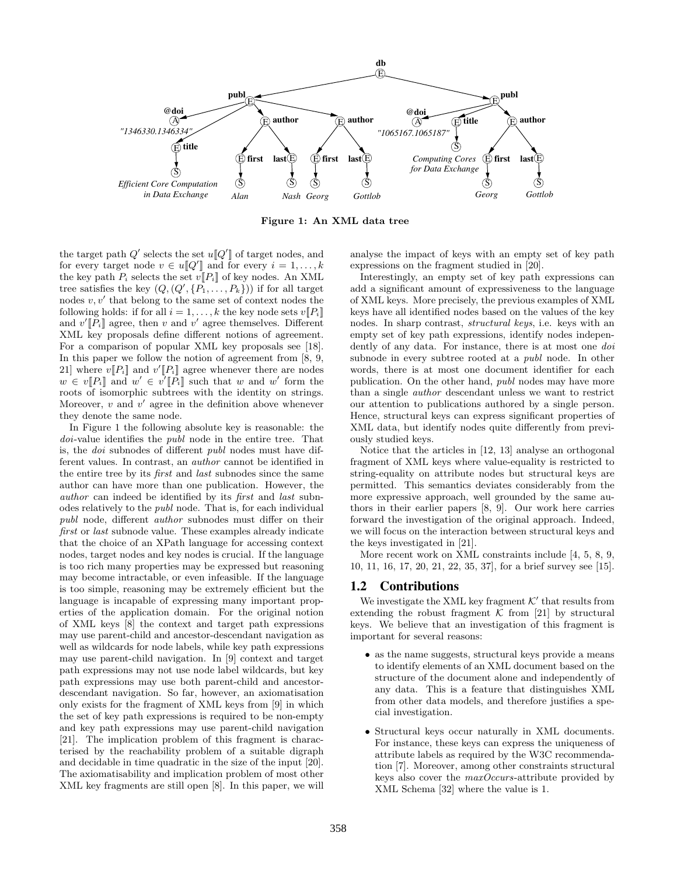

Figure 1: An XML data tree

the target path  $Q'$  selects the set  $u\llbracket Q' \rrbracket$  of target nodes, and for every target node  $v \in u\llbracket Q' \rrbracket$  and for every  $i = 1, ..., k$ the key path  $P_i$  selects the set  $v[P_i]$  of key nodes. An XML tree satisfies the key  $(Q, (Q', \{P_1, \ldots, P_k\}))$  if for all target nodes  $v, v'$  that belong to the same set of context nodes the following holds: if for all  $i = 1, \ldots, k$  the key node sets  $v[[P_i]]$ and  $v'[P_i]$  agree, then v and v' agree themselves. Different XML key proposals define different notions of agreement. For a comparison of popular XML key proposals see [18]. In this paper we follow the notion of agreement from [8, 9, 21] where  $v[[P_i]]$  and  $v'[P_i]]$  agree whenever there are nodes  $w \in v[\![P_i]\!]$  and  $w' \in v'[\![P_i]\!]$  such that w and w' form the roots of isomorphic subtrees with the identity on strings. Moreover,  $v$  and  $v'$  agree in the definition above whenever they denote the same node.

In Figure 1 the following absolute key is reasonable: the doi-value identifies the publ node in the entire tree. That is, the doi subnodes of different publ nodes must have different values. In contrast, an author cannot be identified in the entire tree by its *first* and *last* subnodes since the same author can have more than one publication. However, the author can indeed be identified by its first and last subnodes relatively to the publ node. That is, for each individual publ node, different author subnodes must differ on their first or last subnode value. These examples already indicate that the choice of an XPath language for accessing context nodes, target nodes and key nodes is crucial. If the language is too rich many properties may be expressed but reasoning may become intractable, or even infeasible. If the language is too simple, reasoning may be extremely efficient but the language is incapable of expressing many important properties of the application domain. For the original notion of XML keys [8] the context and target path expressions may use parent-child and ancestor-descendant navigation as well as wildcards for node labels, while key path expressions may use parent-child navigation. In [9] context and target path expressions may not use node label wildcards, but key path expressions may use both parent-child and ancestordescendant navigation. So far, however, an axiomatisation only exists for the fragment of XML keys from [9] in which the set of key path expressions is required to be non-empty and key path expressions may use parent-child navigation [21]. The implication problem of this fragment is characterised by the reachability problem of a suitable digraph and decidable in time quadratic in the size of the input [20]. The axiomatisability and implication problem of most other XML key fragments are still open [8]. In this paper, we will

analyse the impact of keys with an empty set of key path expressions on the fragment studied in [20].

Interestingly, an empty set of key path expressions can add a significant amount of expressiveness to the language of XML keys. More precisely, the previous examples of XML keys have all identified nodes based on the values of the key nodes. In sharp contrast, structural keys, i.e. keys with an empty set of key path expressions, identify nodes independently of any data. For instance, there is at most one *doi* subnode in every subtree rooted at a publ node. In other words, there is at most one document identifier for each publication. On the other hand, publ nodes may have more than a single author descendant unless we want to restrict our attention to publications authored by a single person. Hence, structural keys can express significant properties of XML data, but identify nodes quite differently from previously studied keys.

Notice that the articles in [12, 13] analyse an orthogonal fragment of XML keys where value-equality is restricted to string-equality on attribute nodes but structural keys are permitted. This semantics deviates considerably from the more expressive approach, well grounded by the same authors in their earlier papers [8, 9]. Our work here carries forward the investigation of the original approach. Indeed, we will focus on the interaction between structural keys and the keys investigated in [21].

More recent work on XML constraints include [4, 5, 8, 9, 10, 11, 16, 17, 20, 21, 22, 35, 37], for a brief survey see [15].

## 1.2 Contributions

We investigate the XML key fragment  $K'$  that results from extending the robust fragment  $K$  from [21] by structural keys. We believe that an investigation of this fragment is important for several reasons:

- as the name suggests, structural keys provide a means to identify elements of an XML document based on the structure of the document alone and independently of any data. This is a feature that distinguishes XML from other data models, and therefore justifies a special investigation.
- Structural keys occur naturally in XML documents. For instance, these keys can express the uniqueness of attribute labels as required by the W3C recommendation [7]. Moreover, among other constraints structural keys also cover the maxOccurs-attribute provided by XML Schema [32] where the value is 1.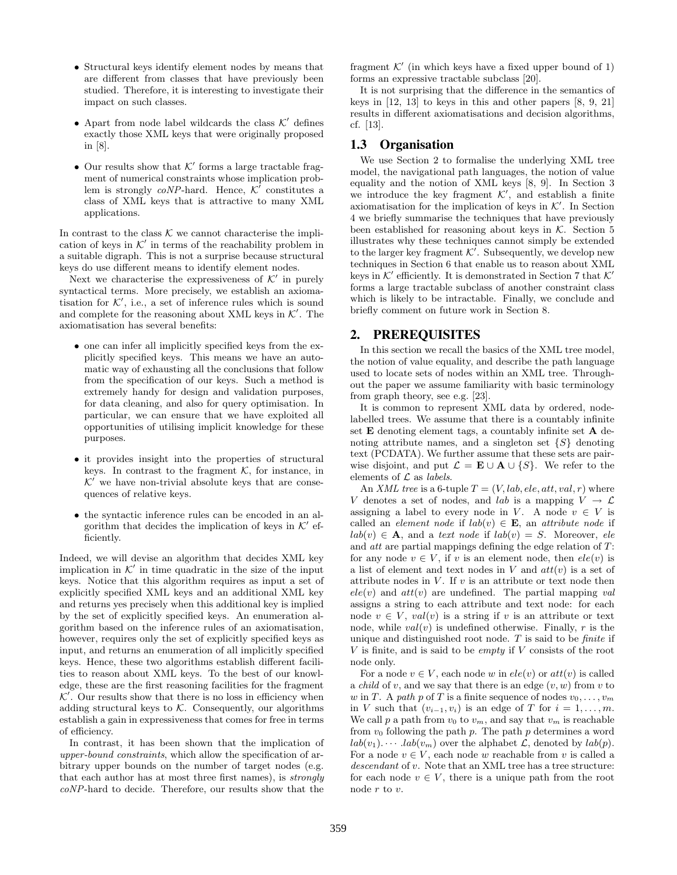- Structural keys identify element nodes by means that are different from classes that have previously been studied. Therefore, it is interesting to investigate their impact on such classes.
- Apart from node label wildcards the class  $K'$  defines exactly those XML keys that were originally proposed in [8].
- $\bullet$  Our results show that  $\mathcal{K}'$  forms a large tractable fragment of numerical constraints whose implication problem is strongly  $coNP$ -hard. Hence,  $K'$  constitutes a class of XML keys that is attractive to many XML applications.

In contrast to the class  $K$  we cannot characterise the implication of keys in  $K'$  in terms of the reachability problem in a suitable digraph. This is not a surprise because structural keys do use different means to identify element nodes.

Next we characterise the expressiveness of  $K'$  in purely syntactical terms. More precisely, we establish an axiomatisation for  $K'$ , i.e., a set of inference rules which is sound and complete for the reasoning about XML keys in  $K'$ . The axiomatisation has several benefits:

- one can infer all implicitly specified keys from the explicitly specified keys. This means we have an automatic way of exhausting all the conclusions that follow from the specification of our keys. Such a method is extremely handy for design and validation purposes, for data cleaning, and also for query optimisation. In particular, we can ensure that we have exploited all opportunities of utilising implicit knowledge for these purposes.
- it provides insight into the properties of structural keys. In contrast to the fragment  $K$ , for instance, in  $K'$  we have non-trivial absolute keys that are consequences of relative keys.
- the syntactic inference rules can be encoded in an algorithm that decides the implication of keys in  $K'$  efficiently.

Indeed, we will devise an algorithm that decides XML key implication in  $K'$  in time quadratic in the size of the input keys. Notice that this algorithm requires as input a set of explicitly specified XML keys and an additional XML key and returns yes precisely when this additional key is implied by the set of explicitly specified keys. An enumeration algorithm based on the inference rules of an axiomatisation, however, requires only the set of explicitly specified keys as input, and returns an enumeration of all implicitly specified keys. Hence, these two algorithms establish different facilities to reason about XML keys. To the best of our knowledge, these are the first reasoning facilities for the fragment  $K'$ . Our results show that there is no loss in efficiency when adding structural keys to  $K$ . Consequently, our algorithms establish a gain in expressiveness that comes for free in terms of efficiency.

In contrast, it has been shown that the implication of upper-bound constraints, which allow the specification of arbitrary upper bounds on the number of target nodes (e.g. that each author has at most three first names), is strongly coNP-hard to decide. Therefore, our results show that the

fragment  $K'$  (in which keys have a fixed upper bound of 1) forms an expressive tractable subclass [20].

It is not surprising that the difference in the semantics of keys in [12, 13] to keys in this and other papers [8, 9, 21] results in different axiomatisations and decision algorithms, cf. [13].

#### 1.3 Organisation

We use Section 2 to formalise the underlying XML tree model, the navigational path languages, the notion of value equality and the notion of XML keys [8, 9]. In Section 3 we introduce the key fragment  $K'$ , and establish a finite axiomatisation for the implication of keys in  $K'$ . In Section 4 we briefly summarise the techniques that have previously been established for reasoning about keys in  $K$ . Section 5 illustrates why these techniques cannot simply be extended to the larger key fragment  $K'$ . Subsequently, we develop new techniques in Section 6 that enable us to reason about XML keys in  $K'$  efficiently. It is demonstrated in Section 7 that  $K'$ forms a large tractable subclass of another constraint class which is likely to be intractable. Finally, we conclude and briefly comment on future work in Section 8.

## 2. PREREQUISITES

In this section we recall the basics of the XML tree model, the notion of value equality, and describe the path language used to locate sets of nodes within an XML tree. Throughout the paper we assume familiarity with basic terminology from graph theory, see e.g. [23].

It is common to represent XML data by ordered, nodelabelled trees. We assume that there is a countably infinite set E denoting element tags, a countably infinite set A denoting attribute names, and a singleton set  $\{S\}$  denoting text (PCDATA). We further assume that these sets are pairwise disjoint, and put  $\mathcal{L} = \mathbf{E} \cup \mathbf{A} \cup \{S\}$ . We refer to the elements of  $\mathcal L$  as *labels*.

An XML tree is a 6-tuple  $T = (V, lab, ele, att, val, r)$  where V denotes a set of nodes, and lab is a mapping  $V \to \mathcal{L}$ assigning a label to every node in V. A node  $v \in V$  is called an *element node* if  $lab(v) \in \mathbf{E}$ , an *attribute node* if  $lab(v) \in \mathbf{A}$ , and a text node if  $lab(v) = S$ . Moreover, ele and att are partial mappings defining the edge relation of T: for any node  $v \in V$ , if v is an element node, then  $ele(v)$  is a list of element and text nodes in  $V$  and  $att(v)$  is a set of attribute nodes in  $V$ . If  $v$  is an attribute or text node then  $ele(v)$  and  $att(v)$  are undefined. The partial mapping val assigns a string to each attribute and text node: for each node  $v \in V$ ,  $val(v)$  is a string if v is an attribute or text node, while  $val(v)$  is undefined otherwise. Finally, r is the unique and distinguished root node.  $T$  is said to be *finite* if V is finite, and is said to be *empty* if V consists of the root node only.

For a node  $v \in V$ , each node w in  $ele(v)$  or  $att(v)$  is called a *child* of v, and we say that there is an edge  $(v, w)$  from v to w in T. A path p of T is a finite sequence of nodes  $v_0, \ldots, v_m$ in V such that  $(v_{i-1}, v_i)$  is an edge of T for  $i = 1, \ldots, m$ . We call p a path from  $v_0$  to  $v_m$ , and say that  $v_m$  is reachable from  $v_0$  following the path p. The path p determines a word  $lab(v_1) \cdots lab(v_m)$  over the alphabet  $\mathcal{L}$ , denoted by  $lab(p)$ . For a node  $v \in V$ , each node w reachable from v is called a descendant of v. Note that an XML tree has a tree structure: for each node  $v \in V$ , there is a unique path from the root node r to v.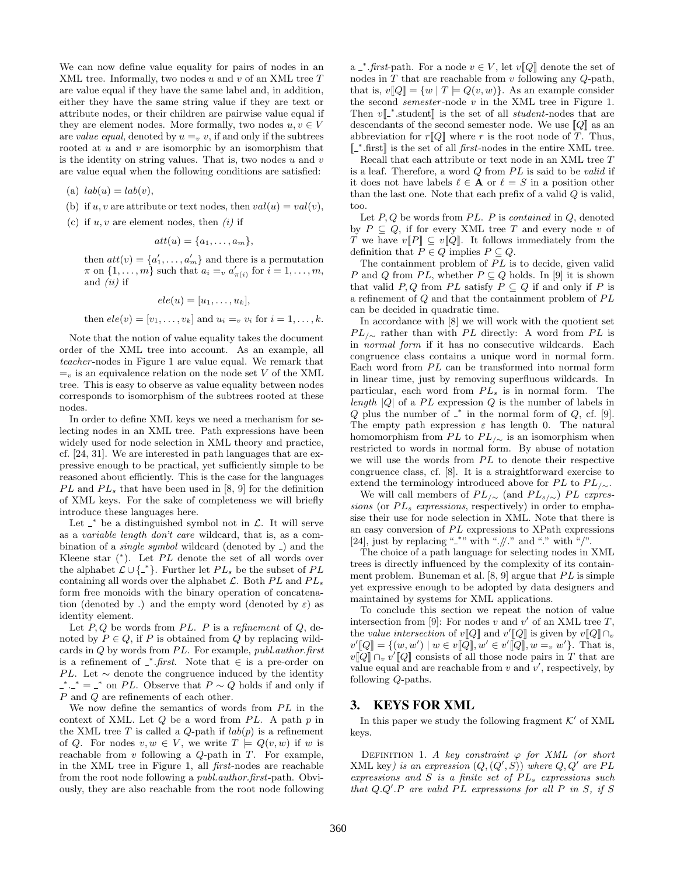We can now define value equality for pairs of nodes in an XML tree. Informally, two nodes  $u$  and  $v$  of an XML tree  $T$ are value equal if they have the same label and, in addition, either they have the same string value if they are text or attribute nodes, or their children are pairwise value equal if they are element nodes. More formally, two nodes  $u, v \in V$ are value equal, denoted by  $u = v$ , if and only if the subtrees rooted at  $u$  and  $v$  are isomorphic by an isomorphism that is the identity on string values. That is, two nodes  $u$  and  $v$ are value equal when the following conditions are satisfied:

(a)  $lab(u) = lab(v)$ ,

- (b) if u, v are attribute or text nodes, then  $val(u) = val(v)$ ,
- (c) if  $u, v$  are element nodes, then  $(i)$  if

$$
att(u) = \{a_1, \ldots, a_m\},\
$$

then  $att(v) = \{a'_1, \ldots, a'_m\}$  and there is a permutation  $\pi$  on  $\{1, \ldots, m\}$  such that  $a_i =_v a'_{\pi(i)}$  for  $i = 1, \ldots, m$ , and  $(ii)$  if

$$
ele(u)=[u_1,\ldots,u_k],
$$

then 
$$
ele(v) = [v_1, \ldots, v_k]
$$
 and  $u_i =_v v_i$  for  $i = 1, \ldots, k$ .

Note that the notion of value equality takes the document order of the XML tree into account. As an example, all teacher -nodes in Figure 1 are value equal. We remark that  $v = v$  is an equivalence relation on the node set V of the XML tree. This is easy to observe as value equality between nodes corresponds to isomorphism of the subtrees rooted at these nodes.

In order to define XML keys we need a mechanism for selecting nodes in an XML tree. Path expressions have been widely used for node selection in XML theory and practice, cf. [24, 31]. We are interested in path languages that are expressive enough to be practical, yet sufficiently simple to be reasoned about efficiently. This is the case for the languages  $PL$  and  $PL_s$  that have been used in [8, 9] for the definition of XML keys. For the sake of completeness we will briefly introduce these languages here.

Let  $\mathcal{\rpreceq}^*$  be a distinguished symbol not in  $\mathcal{L}$ . It will serve as a variable length don't care wildcard, that is, as a combination of a *single symbol* wildcard (denoted by  $\Box$ ) and the Kleene star  $(*)$ . Let  $PL$  denote the set of all words over the alphabet  $\mathcal{L} \cup \{$ <sub>-</sub><sup>\*</sup>}. Further let  $PL_s$  be the subset of  $PL$ containing all words over the alphabet  $\mathcal{L}$ . Both  $PL$  and  $PL_s$ form free monoids with the binary operation of concatenation (denoted by .) and the empty word (denoted by  $\varepsilon$ ) as identity element.

Let  $P, Q$  be words from  $PL$ . P is a refinement of  $Q$ , denoted by  $P \in Q$ , if P is obtained from Q by replacing wildcards in  $Q$  by words from  $PL$ . For example, *publ.author.first* is a refinement of  $\angle^*$ . first. Note that  $\in$  is a pre-order on *PL*. Let  $\sim$  denote the congruence induced by the identity \*.. \* =  $\Delta$  \* on PL. Observe that  $P \sim Q$  holds if and only if P and Q are refinements of each other.

We now define the semantics of words from  $PL$  in the context of XML. Let  $Q$  be a word from  $PL$ . A path  $p$  in the XML tree T is called a Q-path if  $lab(p)$  is a refinement of Q. For nodes  $v, w \in V$ , we write  $T \models Q(v, w)$  if w is reachable from  $v$  following a  $Q$ -path in  $T$ . For example, in the XML tree in Figure 1, all first-nodes are reachable from the root node following a *publ.author.first*-path. Obviously, they are also reachable from the root node following

a \_\*.first-path. For a node  $v \in V$ , let  $v[[Q]]$  denote the set of nodes in  $T$  that are reachable from  $v$  following any  $Q$ -path, that is,  $v[Q] = \{w | T \models Q(v, w)\}.$  As an example consider the second *semester*-node  $v$  in the XML tree in Figure 1. Then  $v\llbracket_{\cdot}^*$  student is the set of all *student*-nodes that are descendants of the second semester node. We use  $\llbracket Q \rrbracket$  as an abbreviation for  $r\llbracket Q \rrbracket$  where r is the root node of T. Thus, [L<sup>\*</sup>.first] is the set of all *first*-nodes in the entire XML tree.

Recall that each attribute or text node in an XML tree T is a leaf. Therefore, a word  $Q$  from  $PL$  is said to be valid if it does not have labels  $\ell \in A$  or  $\ell = S$  in a position other than the last one. Note that each prefix of a valid  $Q$  is valid, too.

Let  $P, Q$  be words from  $PL$ .  $P$  is *contained* in  $Q$ , denoted by  $P \subseteq Q$ , if for every XML tree T and every node v of T we have  $v[[P]] \subseteq v[[Q]]$ . It follows immediately from the definition that  $P \in Q$  implies  $P \subseteq Q$ .

The containment problem of  $PL$  is to decide, given valid P and Q from PL, whether  $P \subseteq Q$  holds. In [9] it is shown that valid P, Q from PL satisfy  $P \subseteq Q$  if and only if P is a refinement of  $Q$  and that the containment problem of  $PL$ can be decided in quadratic time.

In accordance with [8] we will work with the quotient set  $PL_{/\sim}$  rather than with PL directly: A word from PL is in normal form if it has no consecutive wildcards. Each congruence class contains a unique word in normal form. Each word from  $PL$  can be transformed into normal form in linear time, just by removing superfluous wildcards. In particular, each word from  $PL_s$  is in normal form. The length  $|Q|$  of a PL expression Q is the number of labels in  $Q$  plus the number of  $\bar{z}^*$  in the normal form of  $Q$ , cf. [9]. The empty path expression  $\varepsilon$  has length 0. The natural homomorphism from  $PL$  to  $PL_{/\sim}$  is an isomorphism when restricted to words in normal form. By abuse of notation we will use the words from  $PL$  to denote their respective congruence class, cf. [8]. It is a straightforward exercise to extend the terminology introduced above for PL to  $PL_{\ell \sim}$ .

We will call members of  $PL_{\ell_{\infty}}$  (and  $PL_{s/\sim}$ ) PL expressions (or  $PL_s$  expressions, respectively) in order to emphasise their use for node selection in XML. Note that there is an easy conversion of  $PL$  expressions to XPath expressions [24], just by replacing "-\*" with ".//." and "." with "/".

The choice of a path language for selecting nodes in XML trees is directly influenced by the complexity of its containment problem. Buneman et al.  $[8, 9]$  argue that  $PL$  is simple yet expressive enough to be adopted by data designers and maintained by systems for XML applications.

To conclude this section we repeat the notion of value intersection from [9]: For nodes  $v$  and  $v'$  of an XML tree  $T$ , the value intersection of  $v[[Q]]$  and  $v'[Q]]$  is given by  $v[[Q]] \cap_v$  $v' [Q] = \{(w, w') \mid w \in v[\bar{Q}], w' \in v'[\bar{Q}], w =_v w'\}.$  That is,  $v\llbracket Q \rrbracket \cap_v v' \llbracket Q \rrbracket$  consists of all those node pairs in T that are value equal and are reachable from  $v$  and  $v'$ , respectively, by following Q-paths.

## 3. KEYS FOR XML

In this paper we study the following fragment  $K'$  of XML keys.

DEFINITION 1. A key constraint  $\varphi$  for XML (or short XML key) is an expression  $(Q, (Q', S))$  where  $Q, Q'$  are PL expressions and  $S$  is a finite set of  $PL_s$  expressions such that  $Q.Q'.P$  are valid PL expressions for all P in S, if S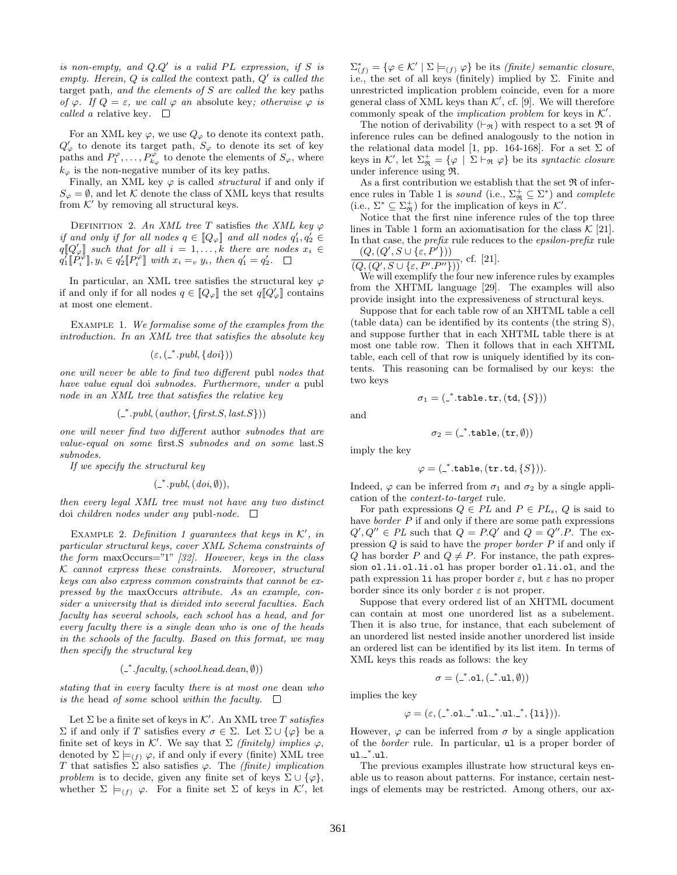is non-empty, and  $Q.Q'$  is a valid PL expression, if S is empty. Herein,  $Q$  is called the context path,  $Q'$  is called the target path, and the elements of S are called the key paths of  $\varphi$ . If  $Q = \varepsilon$ , we call  $\varphi$  an absolute key; otherwise  $\varphi$  is called a relative key.  $\square$ 

For an XML key  $\varphi$ , we use  $Q_{\varphi}$  to denote its context path,  $Q'_{\varphi}$  to denote its target path,  $S_{\varphi}$  to denote its set of key paths and  $P_1^{\varphi}, \ldots, P_{k_{\varphi}}^{\varphi}$  to denote the elements of  $S_{\varphi}$ , where  $k_{\varphi}$  is the non-negative number of its key paths.

Finally, an XML key  $\varphi$  is called *structural* if and only if  $S_{\varphi} = \emptyset$ , and let K denote the class of XML keys that results from  $K'$  by removing all structural keys.

DEFINITION 2. An XML tree T satisfies the XML key  $\varphi$ if and only if for all nodes  $q \in \llbracket Q_{\varphi} \rrbracket$  and all nodes  $q'_1, q'_2 \in$  $q[Q_{\varphi}']$  such that for all  $i = 1, \ldots, k$  there are nodes  $x_i \in$  $q_1^{\prime}$   $\llbracket P_i^{\varphi} \rrbracket$ ,  $y_i \in q_2^{\prime}$   $\llbracket P_i^{\varphi} \rrbracket$  with  $x_i =_v y_i$ , then  $q_1^{\prime} = q_2^{\prime}$ .

In particular, an XML tree satisfies the structural key  $\varphi$ if and only if for all nodes  $q \in [ \mathbb{Q}_\varphi ]$  the set  $q [ \mathbb{Q}_\varphi ]$  contains at most one element.

Example 1. We formalise some of the examples from the introduction. In an XML tree that satisfies the absolute key

$$
(\varepsilon, (\_\_*,publ, \{doi\}))
$$

one will never be able to find two different publ nodes that have value equal doi subnodes. Furthermore, under a publ node in an XML tree that satisfies the relative key

$$
(\_^*.publ, (author, \{first.S, last.S\}))
$$

one will never find two different author subnodes that are value-equal on some first.S subnodes and on some last.S subnodes.

If we specify the structural key

$$
(\_^*,publ, (doi, \emptyset)),
$$

then every legal XML tree must not have any two distinct doi *children nodes under any* publ-node.  $\square$ 

EXAMPLE 2. Definition 1 guarantees that keys in  $K'$ , in particular structural keys, cover XML Schema constraints of the form maxOccurs="1" [32]. However, keys in the class  $K$  cannot express these constraints. Moreover, structural keys can also express common constraints that cannot be expressed by the maxOccurs attribute. As an example, consider a university that is divided into several faculties. Each faculty has several schools, each school has a head, and for every faculty there is a single dean who is one of the heads in the schools of the faculty. Based on this format, we may then specify the structural key

#### $(\_ * . \,faculty, (school. \, head. \, dean, \emptyset))$

stating that in every faculty there is at most one dean who is the head of some school within the faculty.  $\square$ 

Let  $\Sigma$  be a finite set of keys in  $K'$ . An XML tree T satisfies  $Σ$  if and only if T satisfies every  $σ ∈ Σ$ . Let  $Σ ∪ {φ}$  be a finite set of keys in K'. We say that  $\Sigma$  (finitely) implies  $\varphi$ , denoted by  $\Sigma \models_{(f)} \varphi$ , if and only if every (finite) XML tree T that satisfies  $\Sigma$  also satisfies  $\varphi$ . The *(finite) implication* problem is to decide, given any finite set of keys  $\Sigma \cup {\varphi}$ , whether  $\Sigma \models_{(f)} \varphi$ . For a finite set  $\Sigma$  of keys in  $\mathcal{K}'$ , let

 $\Sigma_{(f)}^* = \{ \varphi \in \mathcal{K}' \mid \Sigma \models_{(f)} \varphi \}$  be its *(finite) semantic closure,* i.e., the set of all keys (finitely) implied by  $\Sigma$ . Finite and unrestricted implication problem coincide, even for a more general class of XML keys than  $K'$ , cf. [9]. We will therefore commonly speak of the *implication problem* for keys in  $K'$ .

The notion of derivability  $(\vdash_{\mathfrak{R}})$  with respect to a set  $\mathfrak{R}$  of inference rules can be defined analogously to the notion in the relational data model [1, pp. 164-168]. For a set  $\Sigma$  of keys in  $\mathcal{K}'$ , let  $\Sigma_{\mathfrak{R}}^+ = \{ \varphi \mid \Sigma \vdash_{\mathfrak{R}} \varphi \}$  be its *syntactic closure* under inference using R.

As a first contribution we establish that the set  $\Re$  of inference rules in Table 1 is *sound* (i.e.,  $\Sigma_{\mathfrak{R}}^+ \subseteq \Sigma^*$ ) and *complete* (i.e.,  $\Sigma^* \subseteq \Sigma_{\mathfrak{R}}^+$ ) for the implication of keys in  $\mathcal{K}'$ .

Notice that the first nine inference rules of the top three lines in Table 1 form an axiomatisation for the class  $K$  [21]. In that case, the prefix rule reduces to the epsilon-prefix rule  $(Q, (Q', S \cup \{\varepsilon, P'\}))$ 

$$
\frac{(\mathcal{Q}, (\mathcal{Q}, \mathcal{S} \cup \{\varepsilon, F\}))}{(Q, (Q', \mathcal{S} \cup \{\varepsilon, P'.P''\}))}, \text{cf. [21]}.
$$

We will exemplify the four new inference rules by examples from the XHTML language [29]. The examples will also provide insight into the expressiveness of structural keys.

Suppose that for each table row of an XHTML table a cell (table data) can be identified by its contents (the string S), and suppose further that in each XHTML table there is at most one table row. Then it follows that in each XHTML table, each cell of that row is uniquely identified by its contents. This reasoning can be formalised by our keys: the two keys

 $\sigma_1 = (\_$ \*,\texttt{table.tr},(\texttt{td},\{S\}))

and

$$
\sigma_2 = (\tt_\texttt{-}.table, (\texttt{tr}, \emptyset))
$$

imply the key

$$
\varphi = (\_\texttt{``.table}, (\texttt{tr.td}, \{S\})).
$$

Indeed,  $\varphi$  can be inferred from  $\sigma_1$  and  $\sigma_2$  by a single application of the context-to-target rule.

For path expressions  $Q \in PL$  and  $P \in PL_s$ , Q is said to have border P if and only if there are some path expressions  $Q', Q'' \in PL$  such that  $Q = P.Q'$  and  $Q = Q''.P$ . The expression Q is said to have the proper border P if and only if Q has border P and  $Q \neq P$ . For instance, the path expression ol.li.ol.li.ol has proper border ol.li.ol, and the path expression li has proper border  $\varepsilon$ , but  $\varepsilon$  has no proper border since its only border  $\varepsilon$  is not proper.

Suppose that every ordered list of an XHTML document can contain at most one unordered list as a subelement. Then it is also true, for instance, that each subelement of an unordered list nested inside another unordered list inside an ordered list can be identified by its list item. In terms of XML keys this reads as follows: the key

$$
\sigma = (\tt_\text{-.01},(\tt_\text{-.u1},\emptyset))
$$

implies the key

$$
\varphi = (\varepsilon, (\_\texttt{-.01}\_\texttt{..01} \_\texttt{..01}\_\texttt{..01} \_\texttt{..01} \_\texttt{..01}^*, \{1i\})).
$$

However,  $\varphi$  can be inferred from  $\sigma$  by a single application of the border rule. In particular, ul is a proper border of ul. ∗ .ul.

The previous examples illustrate how structural keys enable us to reason about patterns. For instance, certain nestings of elements may be restricted. Among others, our ax-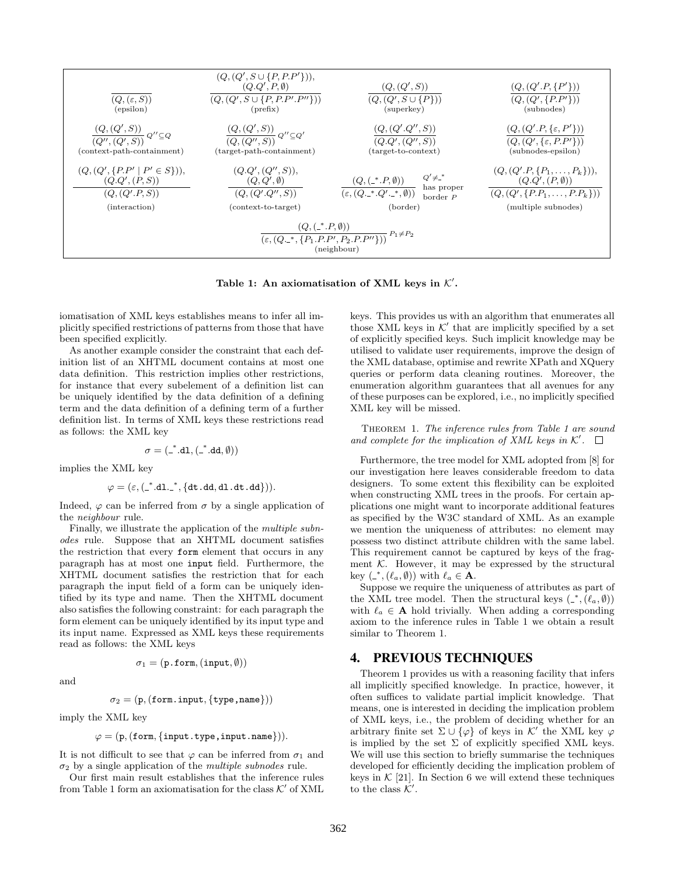| $(Q, (Q', S \cup \{P, P, P'\})$ )     | $(Q, (Q', S \cup \{P, P, P'\})$ ) | $(Q, (Q', S \cup \{P, P, P'\})$ ) | $(Q, (Q', S \cup \{P\})$ |                   |                   |                   |                     |                   |                   |                   |                   |                        |
|---------------------------------------|-----------------------------------|-----------------------------------|--------------------------|-------------------|-------------------|-------------------|---------------------|-------------------|-------------------|-------------------|-------------------|------------------------|
| $(Q, (Q', S \cup \{P, P, P', P'\})$ ) | $(Q, (Q', S \cup \{P\})$ )        | $(Q, (Q', P, \{P'\})$ )           |                          |                   |                   |                   |                     |                   |                   |                   |                   |                        |
| $(Q, (Q', S \cup \{P, P\})$ )         | $(Q, (Q', S \cup \{P\})$ )        | $(Q, (Q', (P, P'))$               |                          |                   |                   |                   |                     |                   |                   |                   |                   |                        |
| $(Q, (Q', (P, S'))$ )                 | $(Q, (Q', (P, P'))$ )             | $(Q, (Q', (P, P')))$              |                          |                   |                   |                   |                     |                   |                   |                   |                   |                        |
| $(Q', (Q', S))$ )                     | $(Q, (Q', (P, S))$                | $(Q, (Q', (P, P')))$              |                          |                   |                   |                   |                     |                   |                   |                   |                   |                        |
| $(Q, (Q', \{P, P'   P' \in S\})$ )    | $(Q, (Q', (Q'', S))$              | $(Q, (Q', (Q'', S))$              | $(Q, (Q', (P, P')))$     |                   |                   |                   |                     |                   |                   |                   |                   |                        |
| $(Q, (Q', (P, S')))$                  | $(Q, (Q', (Q'', S))$ )            | $(Q, (Q', (P, S))$                | $(Q, (Q', (P, S))$ )     | $(Q, (Q', P, S))$ | $(Q, (Q', P, S))$ | $(Q, (Q', P, S))$ | $(Q, (Q', Q'', S))$ | $(Q, (Q', P, P))$ | $(Q, (Q', P, S))$ | $(Q, (Q', P, S))$ | $(Q, (Q', P, S))$ | $(Q, (Q', P, S))$ </td |

Table 1: An axiomatisation of XML keys in  $K'$ .

iomatisation of XML keys establishes means to infer all implicitly specified restrictions of patterns from those that have been specified explicitly.

As another example consider the constraint that each definition list of an XHTML document contains at most one data definition. This restriction implies other restrictions, for instance that every subelement of a definition list can be uniquely identified by the data definition of a defining term and the data definition of a defining term of a further definition list. In terms of XML keys these restrictions read as follows: the XML key

$$
\sigma = (\_ \cdot^*.\text{d1}, (\_ \cdot^*.\text{dd}, \emptyset))
$$

implies the XML key

$$
\varphi=(\varepsilon, (\_\texttt{-}^*.\texttt{d1}.\_\texttt{-}^*, \{\texttt{dt}.\texttt{dd}, \texttt{dl}.\texttt{dt}.\texttt{dd}\})).
$$

Indeed,  $\varphi$  can be inferred from  $\sigma$  by a single application of the neighbour rule.

Finally, we illustrate the application of the multiple subnodes rule. Suppose that an XHTML document satisfies the restriction that every form element that occurs in any paragraph has at most one input field. Furthermore, the XHTML document satisfies the restriction that for each paragraph the input field of a form can be uniquely identified by its type and name. Then the XHTML document also satisfies the following constraint: for each paragraph the form element can be uniquely identified by its input type and its input name. Expressed as XML keys these requirements read as follows: the XML keys

and

$$
\sigma_1 = (\texttt{p.format}, (\texttt{input}, \emptyset))
$$

$$
\sigma_2 = (\mathtt{p}, (\mathtt{form}.\mathtt{input}, \{\mathtt{type} , \mathtt{name}\}))
$$

imply the XML key

$$
\varphi = (\mathtt{p}, (\mathtt{form}, \{\mathtt{input}.\mathtt{type}, \mathtt{input}.\mathtt{name}\})).
$$

It is not difficult to see that  $\varphi$  can be inferred from  $\sigma_1$  and  $\sigma_2$  by a single application of the *multiple subnodes* rule.

Our first main result establishes that the inference rules from Table 1 form an axiomatisation for the class  $K'$  of XML

keys. This provides us with an algorithm that enumerates all those XML keys in  $K'$  that are implicitly specified by a set of explicitly specified keys. Such implicit knowledge may be utilised to validate user requirements, improve the design of the XML database, optimise and rewrite XPath and XQuery queries or perform data cleaning routines. Moreover, the enumeration algorithm guarantees that all avenues for any of these purposes can be explored, i.e., no implicitly specified XML key will be missed.

THEOREM 1. The inference rules from Table 1 are sound and complete for the implication of XML keys in  $K'$ .

Furthermore, the tree model for XML adopted from [8] for our investigation here leaves considerable freedom to data designers. To some extent this flexibility can be exploited when constructing XML trees in the proofs. For certain applications one might want to incorporate additional features as specified by the W3C standard of XML. As an example we mention the uniqueness of attributes: no element may possess two distinct attribute children with the same label. This requirement cannot be captured by keys of the fragment  $K$ . However, it may be expressed by the structural key  $({}_{-}^{\ast},({\ell}_a,\emptyset))$  with  $\ell_a \in \mathbf{A}$ .

Suppose we require the uniqueness of attributes as part of the XML tree model. Then the structural keys  $(\_^*, (\ell_a, \emptyset))$ with  $\ell_a \in A$  hold trivially. When adding a corresponding axiom to the inference rules in Table 1 we obtain a result similar to Theorem 1.

### 4. PREVIOUS TECHNIQUES

Theorem 1 provides us with a reasoning facility that infers all implicitly specified knowledge. In practice, however, it often suffices to validate partial implicit knowledge. That means, one is interested in deciding the implication problem of XML keys, i.e., the problem of deciding whether for an arbitrary finite set  $\Sigma \cup {\varphi}$  of keys in K' the XML key  $\varphi$ is implied by the set  $\Sigma$  of explicitly specified XML keys. We will use this section to briefly summarise the techniques developed for efficiently deciding the implication problem of keys in  $K$  [21]. In Section 6 we will extend these techniques to the class  $K'$ .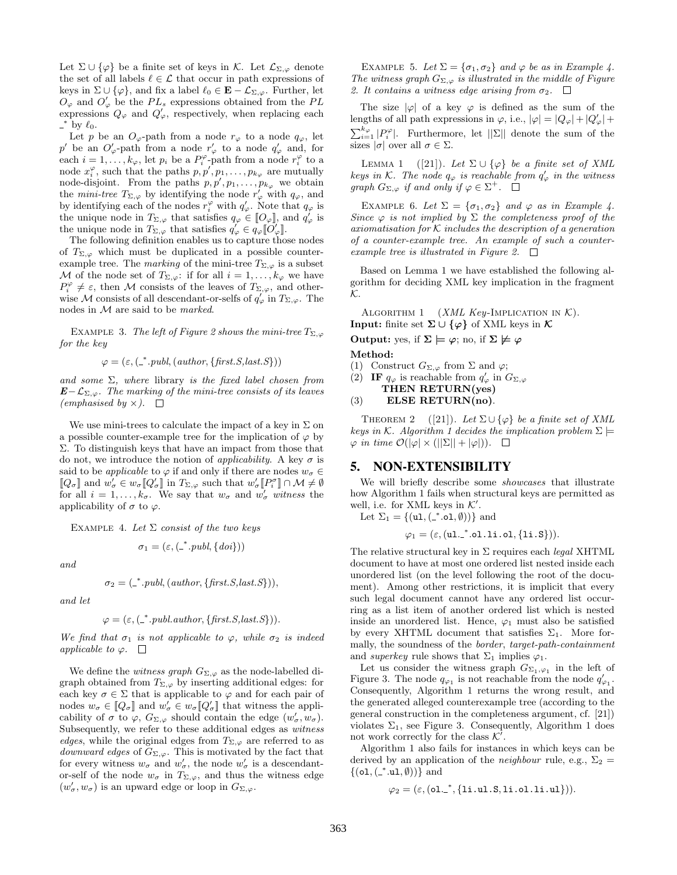Let  $\Sigma \cup \{\varphi\}$  be a finite set of keys in K. Let  $\mathcal{L}_{\Sigma,\varphi}$  denote the set of all labels  $\ell \in \mathcal{L}$  that occur in path expressions of keys in  $\Sigma \cup \{\varphi\}$ , and fix a label  $\ell_0 \in \mathbf{E} - \mathcal{L}_{\Sigma,\varphi}$ . Further, let  $O_{\varphi}$  and  $O_{\varphi}'$  be the  $PL_s$  expressions obtained from the  $PL$ expressions  $Q_{\varphi}$  and  $Q'_{\varphi}$ , respectively, when replacing each  $\_\,^*$  by  $\ell_0.$ 

Let p be an  $O_{\varphi}$ -path from a node  $r_{\varphi}$  to a node  $q_{\varphi}$ , let p' be an  $O'_{\varphi}$ -path from a node  $r'_{\varphi}$  to a node  $q'_{\varphi}$  and, for each  $i = 1, \ldots, k_{\varphi}$ , let  $p_i$  be a  $P_i^{\varphi}$ -path from a node  $r_i^{\varphi}$  to a node  $x_i^{\varphi}$ , such that the paths  $p, p', p_1, \ldots, p_{k_{\varphi}}$  are mutually node-disjoint. From the paths  $p, p', p_1, \ldots, p_{k_{\varphi}}$  we obtain the *mini-tree*  $T_{\Sigma,\varphi}$  by identifying the node  $r'_{\varphi}$  with  $q_{\varphi}$ , and by identifying each of the nodes  $r_i^{\varphi}$  with  $q_{\varphi}$ . Note that  $q_{\varphi}$  is the unique node in  $T_{\Sigma,\varphi}$  that satisfies  $q_{\varphi} \in [0,\varphi]$ , and  $q_{\varphi}'$  is the unique node in  $T_{\Sigma,\varphi}$  that satisfies  $q'_{\varphi} \in q_{\varphi}[\overline{O_{\varphi}'}]$ .

The following definition enables us to capture those nodes of  $T_{\Sigma,\varphi}$  which must be duplicated in a possible counterexample tree. The *marking* of the mini-tree  $T_{\Sigma,\varphi}$  is a subset M of the node set of  $T_{\Sigma,\varphi}$ : if for all  $i=1,\ldots,k_{\varphi}$  we have  $P_i^{\varphi} \neq \varepsilon$ , then M consists of the leaves of  $T_{\Sigma,\varphi}$ , and otherwise M consists of all descendant-or-selfs of  $q_{\varphi}$  in  $T_{\Sigma,\varphi}$ . The nodes in  $M$  are said to be *marked*.

EXAMPLE 3. The left of Figure 2 shows the mini-tree  $T_{\Sigma,\varphi}$ for the key

$$
\varphi = (\varepsilon, (\_\_^*, \mathit{publ}, (\mathit{author}, \{\mathit{first}.S, \mathit{last}.S\}))
$$

and some  $\Sigma$ , where library is the fixed label chosen from  $E-\mathcal{L}_{\Sigma,\varphi}$ . The marking of the mini-tree consists of its leaves (emphasised by  $\times$ ).  $\Box$ 

We use mini-trees to calculate the impact of a key in  $\Sigma$  on a possible counter-example tree for the implication of  $\varphi$  by Σ. To distinguish keys that have an impact from those that do not, we introduce the notion of *applicability*. A key  $\sigma$  is said to be *applicable* to  $\varphi$  if and only if there are nodes  $w_{\sigma} \in$  $[\![Q_{\sigma}]\!]$  and  $w_{\sigma} \in w_{\sigma}[\![Q_{\sigma}']\!]$  in  $T_{\Sigma,\varphi}$  such that  $w_{\sigma}'[\![P_i^{\sigma}]\!] \cap \mathcal{M} \neq \emptyset$ for all  $i = 1, ..., k_{\sigma}$ . We say that  $w_{\sigma}$  and  $w'_{\sigma}$  witness the applicability of  $\sigma$  to  $\varphi$ .

EXAMPLE 4. Let  $\Sigma$  consist of the two keys

$$
\sigma_1 = (\varepsilon, (-^*, publ, \{ doi\}) )
$$

and

 $\sigma_2 = (\angle^* . \text{publ}, (\text{author}, \{\text{first.S}, \text{last.S}\}),$ 

and let

$$
\varphi = (\varepsilon, (\_\_r, publicauthor, \{first.S, last.S\})).
$$

We find that  $\sigma_1$  is not applicable to  $\varphi$ , while  $\sigma_2$  is indeed applicable to  $\varphi$ .  $\Box$ 

We define the *witness graph*  $G_{\Sigma,\varphi}$  as the node-labelled digraph obtained from  $T_{\Sigma,\varphi}$  by inserting additional edges: for each key  $\sigma \in \Sigma$  that is applicable to  $\varphi$  and for each pair of nodes  $w_{\sigma} \in [Q_{\sigma}]$  and  $w_{\sigma} \in w_{\sigma}[Q_{\sigma}']$  that witness the applicability of  $\sigma$  to  $\varphi$ ,  $G_{\Sigma,\varphi}$  should contain the edge  $(w'_{\sigma}, w_{\sigma})$ . Subsequently, we refer to these additional edges as witness edges, while the original edges from  $T_{\Sigma,\varphi}$  are referred to as downward edges of  $G_{\Sigma,\varphi}$ . This is motivated by the fact that for every witness  $w_{\sigma}$  and  $w'_{\sigma}$ , the node  $w'_{\sigma}$  is a descendantor-self of the node  $w_{\sigma}$  in  $T_{\Sigma,\varphi}$ , and thus the witness edge  $(w'_{\sigma}, w_{\sigma})$  is an upward edge or loop in  $G_{\Sigma, \varphi}$ .

EXAMPLE 5. Let  $\Sigma = {\sigma_1, \sigma_2}$  and  $\varphi$  be as in Example 4. The witness graph  $G_{\Sigma,\varphi}$  is illustrated in the middle of Figure 2. It contains a witness edge arising from  $\sigma_2$ .  $\Box$ 

The size  $|\varphi|$  of a key  $\varphi$  is defined as the sum of the lengths of all path expressions in  $\varphi$ , i.e.,  $|\varphi| = |Q_{\varphi}| + |Q'_{\varphi}| +$  $\sum_{i=1}^{k_{\varphi}} |P_i^{\varphi}|$ . Furthermore, let  $||\Sigma||$  denote the sum of the sizes  $|\sigma|$  over all  $\sigma \in \Sigma$ .

LEMMA 1 ([21]). Let  $\Sigma \cup {\varphi}$  be a finite set of XML keys in K. The node  $q_{\varphi}$  is reachable from  $q_{\varphi}'$  in the witness graph  $G_{\Sigma,\varphi}$  if and only if  $\varphi \in \Sigma^+$ .

EXAMPLE 6. Let  $\Sigma = {\sigma_1, \sigma_2}$  and  $\varphi$  as in Example 4. Since  $\varphi$  is not implied by  $\Sigma$  the completeness proof of the axiomatisation for  $K$  includes the description of a generation of a counter-example tree. An example of such a counterexample tree is illustrated in Figure 2.  $\Box$ 

Based on Lemma 1 we have established the following algorithm for deciding XML key implication in the fragment K.

ALGORITHM 1 (*XML Key*-IMPLICATION IN  $K$ ). **Input:** finite set  $\Sigma \cup {\varphi}$  of XML keys in  $\mathcal{K}$ 

**Output:** yes, if  $\Sigma \models \varphi$ ; no, if  $\Sigma \not\models \varphi$ 

Method:

- (1) Construct  $G_{\Sigma,\varphi}$  from  $\Sigma$  and  $\varphi$ ;
- (2) IF  $q_{\varphi}$  is reachable from  $q_{\varphi}'$  in  $G_{\Sigma,\varphi}$

THEN RETURN(yes)

(3) ELSE RETURN(no).

THEOREM 2 ([21]). Let  $\Sigma \cup {\varphi}$  be a finite set of XML keys in K. Algorithm 1 decides the implication problem  $\Sigma \models$  $\varphi$  in time  $\mathcal{O}(|\varphi| \times (||\Sigma|| + |\varphi|)). \quad \Box$ 

### 5. NON-EXTENSIBILITY

We will briefly describe some *showcases* that illustrate how Algorithm 1 fails when structural keys are permitted as well, i.e. for XML keys in  $K'$ .

Let  $\Sigma_1 = \{(\mathsf{u1}, (\_\cdot^*, \mathsf{o1}, \emptyset))\}$  and

$$
\varphi_1 = (\varepsilon, (\mathtt{ul.}^*.\mathtt{ol.li.ol}, \mathtt{\{li. s\}})).
$$

The relative structural key in  $\Sigma$  requires each *legal* XHTML document to have at most one ordered list nested inside each unordered list (on the level following the root of the document). Among other restrictions, it is implicit that every such legal document cannot have any ordered list occurring as a list item of another ordered list which is nested inside an unordered list. Hence,  $\varphi_1$  must also be satisfied by every XHTML document that satisfies  $\Sigma_1$ . More formally, the soundness of the border, target-path-containment and *superkey* rule shows that  $\Sigma_1$  implies  $\varphi_1$ .

Let us consider the witness graph  $G_{\Sigma_1,\varphi_1}$  in the left of Figure 3. The node  $q_{\varphi_1}$  is not reachable from the node  $q_{\varphi_1}'$ . Consequently, Algorithm 1 returns the wrong result, and the generated alleged counterexample tree (according to the general construction in the completeness argument, cf. [21]) violates  $\Sigma_1$ , see Figure 3. Consequently, Algorithm 1 does not work correctly for the class  $K^{\prime}$ .

Algorithm 1 also fails for instances in which keys can be derived by an application of the *neighbour* rule, e.g.,  $\Sigma_2$  =  $\{(\texttt{ol},(\_\cdot^*,\texttt{ul},\emptyset))\}$  and

$$
\varphi_2=(\varepsilon, (\mathtt{ol.}^*, \mathtt{ \{li.ul. S, li.ol.li.ul\})}).
$$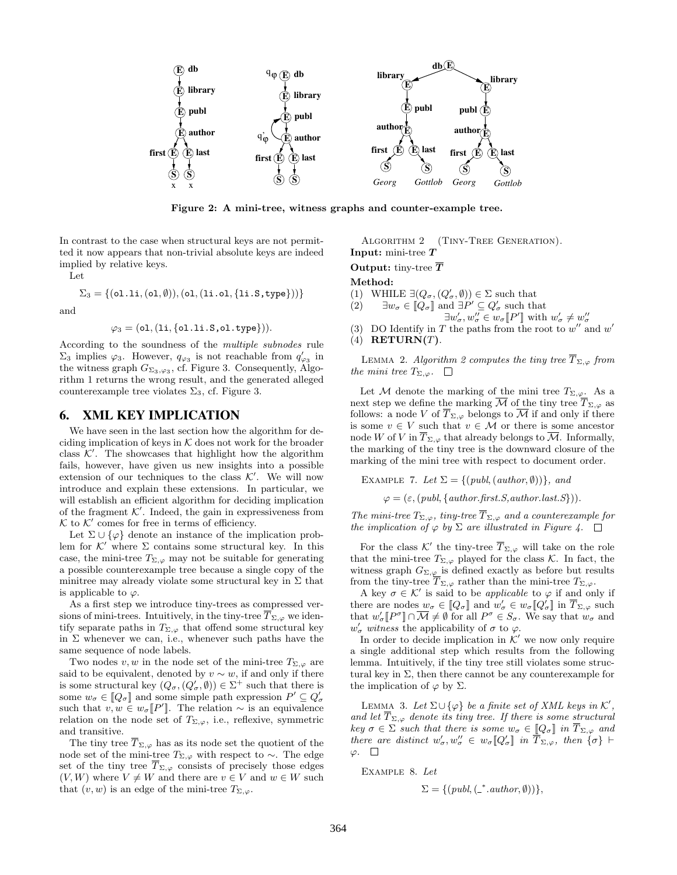

Figure 2: A mini-tree, witness graphs and counter-example tree.

In contrast to the case when structural keys are not permitted it now appears that non-trivial absolute keys are indeed implied by relative keys.

Let

$$
\Sigma_3 = \{(\texttt{ol}.1i, (\texttt{ol}, \emptyset)), (\texttt{ol}, (\texttt{li}. \texttt{ol}, \{\texttt{li}. S, \texttt{type}\}))\}
$$

and

$$
\varphi_3 = (\texttt{ol}, (\texttt{li}, \{\texttt{ol}\texttt{.li}.\texttt{S}, \texttt{ol}\texttt{.type}\})).
$$

According to the soundness of the multiple subnodes rule  $\Sigma_3$  implies  $\varphi_3$ . However,  $q_{\varphi_3}$  is not reachable from  $q'_{\varphi_3}$  in the witness graph  $G_{\Sigma_3,\varphi_3}$ , cf. Figure 3. Consequently, Algorithm 1 returns the wrong result, and the generated alleged counterexample tree violates  $\Sigma_3$ , cf. Figure 3.

# 6. XML KEY IMPLICATION

We have seen in the last section how the algorithm for deciding implication of keys in  $K$  does not work for the broader class  $K'$ . The showcases that highlight how the algorithm fails, however, have given us new insights into a possible extension of our techniques to the class  $K'$ . We will now introduce and explain these extensions. In particular, we will establish an efficient algorithm for deciding implication of the fragment  $K'$ . Indeed, the gain in expressiveness from  $K$  to  $K'$  comes for free in terms of efficiency.

Let  $\Sigma \cup {\varphi}$  denote an instance of the implication problem for  $K'$  where  $\Sigma$  contains some structural key. In this case, the mini-tree  $T_{\Sigma,\varphi}$  may not be suitable for generating a possible counterexample tree because a single copy of the minitree may already violate some structural key in  $\Sigma$  that is applicable to  $\varphi$ .

As a first step we introduce tiny-trees as compressed versions of mini-trees. Intuitively, in the tiny-tree  $\overline{T}_{\Sigma,\varphi}$  we identify separate paths in  $T_{\Sigma,\varphi}$  that offend some structural key in  $\Sigma$  whenever we can, i.e., whenever such paths have the same sequence of node labels.

Two nodes  $v, w$  in the node set of the mini-tree  $T_{\Sigma, \varphi}$  are said to be equivalent, denoted by  $v \sim w$ , if and only if there is some structural key  $(Q_{\sigma}, (Q'_{\sigma}, \emptyset)) \in \Sigma^{+}$  such that there is some  $w_{\sigma} \in [Q_{\sigma}]$  and some simple path expression  $P' \subseteq Q'_{\sigma}$ such that  $v, w \in w_{\sigma}[[P']]$ . The relation  $\sim$  is an equivalence relation on the node set of  $T_{\Sigma,\varphi}$ , i.e., reflexive, symmetric and transitive.

The tiny tree  $T_{\Sigma,\varphi}$  has as its node set the quotient of the node set of the mini-tree  $T_{\Sigma,\varphi}$  with respect to ∼. The edge set of the tiny tree  $\overline{T}_{\Sigma,\varphi}$  consists of precisely those edges  $(V, W)$  where  $V \neq W$  and there are  $v \in V$  and  $w \in W$  such that  $(v, w)$  is an edge of the mini-tree  $T_{\Sigma, \varphi}$ .

ALGORITHM 2 (TINY-TREE GENERATION). Input: mini-tree T

Output: tiny-tree  $\overline{T}$ 

#### Method:

- (1) WHILE  $\exists (Q_{\sigma}, (Q'_{\sigma}, \emptyset)) \in \Sigma$  such that
- (2)  $\exists w_{\sigma} \in [Q_{\sigma}]$  and  $\exists P' \subseteq Q'_{\sigma}$  such that
	- $\exists w'_\sigma, w''_\sigma \in w_\sigma\llbracket P' \rrbracket$  with  $w'_\sigma \neq w''_\sigma$
- (3) DO Identify in  $T$  the paths from the root to  $w''$  and  $w'$ (4) RETURN $(T)$ .

LEMMA 2. Algorithm 2 computes the tiny tree  $\overline{T}_{\Sigma,\varphi}$  from the mini tree  $T_{\Sigma,\varphi}$ .  $\square$ 

Let M denote the marking of the mini tree  $T_{\Sigma,\varphi}$ . As a next step we define the marking  $\overline{\mathcal{M}}$  of the tiny tree  $\overline{T}_{\Sigma,\varphi}$  as follows: a node V of  $\overline{T}_{\Sigma,\varphi}$  belongs to  $\overline{\mathcal{M}}$  if and only if there is some  $v \in V$  such that  $v \in \mathcal{M}$  or there is some ancestor node W of V in  $\overline{T}_{\Sigma,\varphi}$  that already belongs to  $\overline{\mathcal{M}}$ . Informally, the marking of the tiny tree is the downward closure of the marking of the mini tree with respect to document order.

EXAMPLE 7. Let  $\Sigma = \{(publ, (author, \emptyset))\}$ , and

 $\varphi = (\varepsilon, (publ, \{author.first.S, author.last.S\})).$ 

The mini-tree  $T_{\Sigma,\varphi}$ , tiny-tree  $\overline{T}_{\Sigma,\varphi}$  and a counterexample for the implication of  $\varphi$  by  $\Sigma$  are illustrated in Figure 4.  $\square$ 

For the class  $K'$  the tiny-tree  $\overline{T}_{\Sigma,\varphi}$  will take on the role that the mini-tree  $T_{\Sigma,\varphi}$  played for the class  ${\mathcal K}.$  In fact, the witness graph  $G_{\Sigma,\varphi}$  is defined exactly as before but results from the tiny-tree  $T_{\Sigma,\varphi}$  rather than the mini-tree  $T_{\Sigma,\varphi}$ .

A key  $\sigma \in \mathcal{K}'$  is said to be *applicable* to  $\varphi$  if and only if there are nodes  $w_{\sigma} \in [ \mathbb{Q}_{\sigma} ]$  and  $w_{\sigma}' \in w_{\sigma} [ \mathbb{Q}_{\sigma}']$  in  $\overline{T}_{\Sigma, \varphi}$  such that  $w'_{\sigma}[[P^{\sigma}]\cap \overline{\mathcal{M}}\neq \emptyset$  for all  $P^{\sigma}\in S_{\sigma}$ . We say that  $w_{\sigma}$  and  $w'_{\sigma}$  witness the applicability of  $\sigma$  to  $\varphi$ .

In order to decide implication in  $K'$  we now only require a single additional step which results from the following lemma. Intuitively, if the tiny tree still violates some structural key in  $\Sigma$ , then there cannot be any counterexample for the implication of  $\varphi$  by  $\Sigma$ .

LEMMA 3. Let  $\Sigma \cup {\varphi}$  be a finite set of XML keys in K', and let  $\overline{T}_{\Sigma,\varphi}$  denote its tiny tree. If there is some structural key  $\sigma \in \Sigma$  such that there is some  $w_{\sigma} \in [Q_{\sigma}]$  in  $T_{\Sigma, \varphi}$  and there are distinct  $w'_\sigma, w''_\sigma \in w_\sigma [Q'_\sigma]$  in  $\overline{T}_{\Sigma,\varphi}$ , then  $\{\sigma\}$   $\vdash$  $\varphi$ .  $\Box$ 

Example 8. Let

$$
\Sigma = \{ (publ, (\_\_ * .author, \emptyset)) \},
$$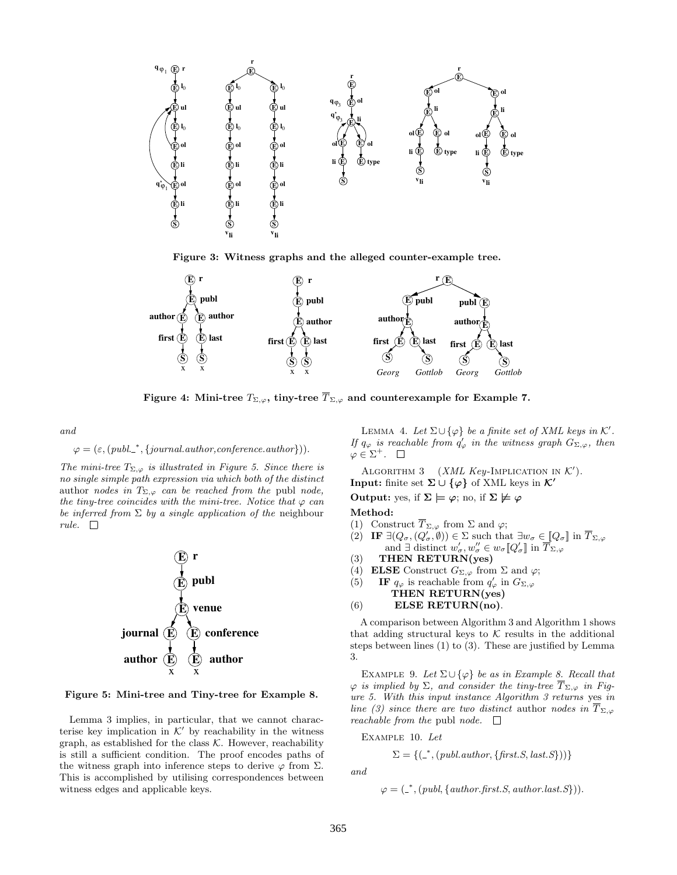

Figure 3: Witness graphs and the alleged counter-example tree.



Figure 4: Mini-tree  $T_{\Sigma,\varphi}$ , tiny-tree  $\overline{T}_{\Sigma,\varphi}$  and counterexample for Example 7.

and

$$
\varphi = (\varepsilon, (publ.^{*}, \{journal, author, conference, author\})).
$$

The mini-tree  $T_{\Sigma,\varphi}$  is illustrated in Figure 5. Since there is no single simple path expression via which both of the distinct author nodes in  $T_{\Sigma,\varphi}$  can be reached from the publ node, the tiny-tree coincides with the mini-tree. Notice that  $\varphi$  can be inferred from  $\Sigma$  by a single application of the neighbour rule.  $\Box$ 



Figure 5: Mini-tree and Tiny-tree for Example 8.

Lemma 3 implies, in particular, that we cannot characterise key implication in  $K'$  by reachability in the witness graph, as established for the class  $K$ . However, reachability is still a sufficient condition. The proof encodes paths of the witness graph into inference steps to derive  $\varphi$  from  $\Sigma$ . This is accomplished by utilising correspondences between witness edges and applicable keys.

LEMMA 4. Let  $\Sigma \cup {\varphi}$  be a finite set of XML keys in K'. If  $q_{\varphi}$  is reachable from  $q_{\varphi}'$  in the witness graph  $G_{\Sigma,\varphi}$ , then  $\varphi \in \Sigma^{+}.$ 

ALGORITHM 3 (*XML Key*-IMPLICATION IN  $K'$ ). **Input:** finite set  $\Sigma \cup {\varphi}$  of XML keys in  $\mathcal{K}'$ 

**Output:** yes, if  $\Sigma \models \varphi$ ; no, if  $\Sigma \not\models \varphi$ Method:

- (1) Construct  $T_{\Sigma,\varphi}$  from  $\Sigma$  and  $\varphi$ ; (2) IF  $\exists (Q_{\sigma}, (Q'_{\sigma}, \emptyset)) \in \Sigma$  such that  $\exists w_{\sigma} \in [Q_{\sigma}]$  in  $\overline{T}_{\Sigma, \varphi}$ and  $\exists$  distinct  $w'_{\sigma}, w''_{\sigma} \in w_{\sigma}[\![Q'_{\sigma}]\!]$  in  $\overline{T}_{\Sigma, \varphi}$
- 
- (3) THEN RETURN(yes)
- (4) ELSE Construct  $G_{\Sigma,\varphi}$  from  $\Sigma$  and  $\varphi$ ;
- (5) IF  $q_{\varphi}$  is reachable from  $q_{\varphi}'$  in  $G_{\Sigma,\varphi}$ THEN RETURN(yes)

$$
(6) \qquad \qquad \textbf{ELSE RETURN} \textbf{(no)}.
$$

A comparison between Algorithm 3 and Algorithm 1 shows that adding structural keys to  $K$  results in the additional steps between lines (1) to (3). These are justified by Lemma 3.

EXAMPLE 9. Let  $\Sigma \cup {\varphi}$  be as in Example 8. Recall that  $\varphi$  is implied by  $\Sigma$ , and consider the tiny-tree  $\overline{T}_{\Sigma,\varphi}$  in Figure 5. With this input instance Algorithm 3 returns yes in line (3) since there are two distinct author nodes in  $\overline{T}_{\Sigma,\varphi}$ reachable from the publ node.  $\square$ 

Example 10. Let

$$
\Sigma = \{ (\_\ , (pubLauthor, \{first.S, last.S\})) \}
$$

and

$$
\varphi = (\_^*, (publ, \{author.first.S, author.last.S\})).
$$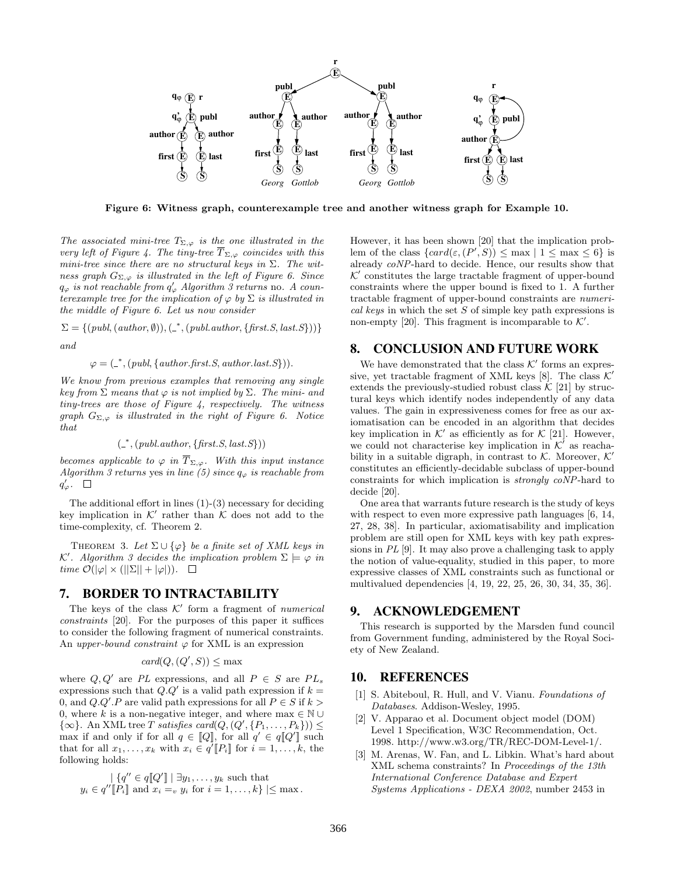

Figure 6: Witness graph, counterexample tree and another witness graph for Example 10.

The associated mini-tree  $T_{\Sigma,\varphi}$  is the one illustrated in the very left of Figure 4. The tiny-tree  $T_{\Sigma,\varphi}$  coincides with this mini-tree since there are no structural keys in  $\Sigma$ . The witness graph  $G_{\Sigma,\varphi}$  is illustrated in the left of Figure 6. Since  $q_{\varphi}$  is not reachable from  $q_{\varphi}'$  Algorithm 3 returns no. A counterexample tree for the implication of  $\varphi$  by  $\Sigma$  is illustrated in the middle of Figure 6. Let us now consider

 $\Sigma = \{ (publ, (author, \emptyset)), (\_\_\_\_ (publ.author, \{first.S, last.S\})) \}$ and

$$
\varphi = (\_^*, (publ, \{author.first.S, author.last.S\})).
$$

We know from previous examples that removing any single key from  $\Sigma$  means that  $\varphi$  is not implied by  $\Sigma$ . The mini- and tiny-trees are those of Figure 4, respectively. The witness graph  $G_{\Sigma,\varphi}$  is illustrated in the right of Figure 6. Notice that

$$
(\_^*, (publ. author, \{first.S, last.S\}))
$$

becomes applicable to  $\varphi$  in  $\overline{T}_{\Sigma,\varphi}$ . With this input instance Algorithm 3 returns yes in line (5) since  $q_{\varphi}$  is reachable from  $q_\varphi'$  .

The additional effort in lines (1)-(3) necessary for deciding key implication in  $K'$  rather than  $K$  does not add to the time-complexity, cf. Theorem 2.

THEOREM 3. Let  $\Sigma \cup {\varphi}$  be a finite set of XML keys in K'. Algorithm 3 decides the implication problem  $\Sigma \models \varphi$  in time  $\mathcal{O}(|\varphi| \times (||\Sigma|| + |\varphi|)). \quad \Box$ 

## 7. BORDER TO INTRACTABILITY

The keys of the class  $K'$  form a fragment of *numerical* constraints [20]. For the purposes of this paper it suffices to consider the following fragment of numerical constraints. An upper-bound constraint  $\varphi$  for XML is an expression

$$
card(Q, (Q', S)) \le \max
$$

where  $Q, Q'$  are PL expressions, and all  $P \in S$  are  $PL_s$ expressions such that  $Q.Q'$  is a valid path expression if  $k =$ 0, and  $Q.Q'.P$  are valid path expressions for all  $P \in S$  if  $k >$ 0, where k is a non-negative integer, and where max  $\in \mathbb{N} \cup$  $\{\infty\}$ . An XML tree T satisfies card $(Q, (Q', \{P_1, \ldots, P_k\})) \le$ max if and only if for all  $q \in [Q]$ , for all  $q' \in q[Q']$  such that for all  $x_1, \ldots, x_k$  with  $x_i \in q^{\dagger}[P_i]$  for  $i = 1, \ldots, k$ , the following holds:

$$
| \{ q'' \in q[\![Q']\!] \; | \; \exists y_1, \ldots, y_k \text{ such that}
$$
  
  $y_i \in q''[\![P_i]\!]$  and  $x_i =_v y_i$  for  $i = 1, \ldots, k \} | \le \max.$ 

However, it has been shown [20] that the implication problem of the class  $\{card(\varepsilon, (P', S)) \leq \max | 1 \leq \max \leq 6 \}$  is already coNP-hard to decide. Hence, our results show that  $K'$  constitutes the large tractable fragment of upper-bound constraints where the upper bound is fixed to 1. A further tractable fragment of upper-bound constraints are numerical keys in which the set  $S$  of simple key path expressions is non-empty [20]. This fragment is incomparable to  $K'$ .

#### 8. CONCLUSION AND FUTURE WORK

We have demonstrated that the class  $K'$  forms an expressive, yet tractable fragment of XML keys [8]. The class  $K'$ extends the previously-studied robust class  $K$  [21] by structural keys which identify nodes independently of any data values. The gain in expressiveness comes for free as our axiomatisation can be encoded in an algorithm that decides key implication in  $K'$  as efficiently as for  $K$  [21]. However, we could not characterise key implication in  $K'$  as reachability in a suitable digraph, in contrast to  $K$ . Moreover,  $K'$ constitutes an efficiently-decidable subclass of upper-bound constraints for which implication is strongly coNP-hard to decide [20].

One area that warrants future research is the study of keys with respect to even more expressive path languages [6, 14, 27, 28, 38]. In particular, axiomatisability and implication problem are still open for XML keys with key path expressions in PL [9]. It may also prove a challenging task to apply the notion of value-equality, studied in this paper, to more expressive classes of XML constraints such as functional or multivalued dependencies [4, 19, 22, 25, 26, 30, 34, 35, 36].

#### 9. ACKNOWLEDGEMENT

This research is supported by the Marsden fund council from Government funding, administered by the Royal Society of New Zealand.

## 10. REFERENCES

- [1] S. Abiteboul, R. Hull, and V. Vianu. Foundations of Databases. Addison-Wesley, 1995.
- [2] V. Apparao et al. Document object model (DOM) Level 1 Specification, W3C Recommendation, Oct. 1998. http://www.w3.org/TR/REC-DOM-Level-1/.
- [3] M. Arenas, W. Fan, and L. Libkin. What's hard about XML schema constraints? In Proceedings of the 13th International Conference Database and Expert Systems Applications - DEXA 2002, number 2453 in